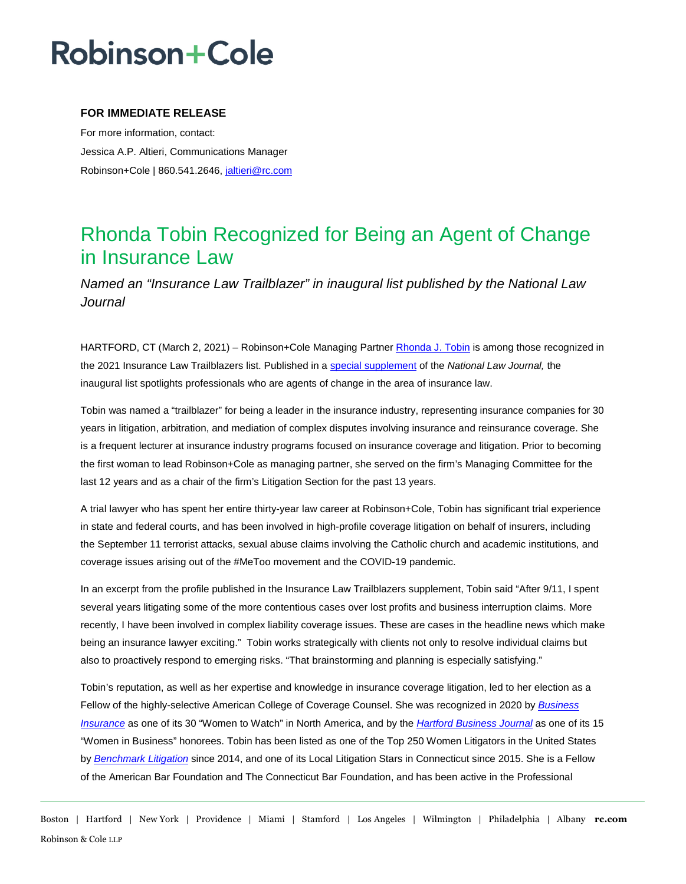## Robinson+Cole

### **FOR IMMEDIATE RELEASE**

For more information, contact: Jessica A.P. Altieri, Communications Manager Robinson+Cole | 860.541.2646, [jaltieri@rc.com](mailto:jaltieri@rc.com)

## Rhonda Tobin Recognized for Being an Agent of Change in Insurance Law

*Named an "Insurance Law Trailblazer" in inaugural list published by the National Law Journal* 

HARTFORD, CT (March 2, 2021) – Robinson+Cole Managing Partne[r Rhonda J. Tobin](http://www.rc.com/people/RhondaJTobin.cfm) is among those recognized in the 2021 Insurance Law Trailblazers list. Published in [a special supplement](https://images.law.com/media/nationallawjournal/supplements/NLJTB_Insurance_2021/index.html) of the *National Law Journal,* the inaugural list spotlights professionals who are agents of change in the area of insurance law.

Tobin was named a "trailblazer" for being a leader in the insurance industry, representing insurance companies for 30 years in litigation, arbitration, and mediation of complex disputes involving insurance and reinsurance coverage. She is a frequent lecturer at insurance industry programs focused on insurance coverage and litigation. Prior to becoming the first woman to lead Robinson+Cole as managing partner, she served on the firm's Managing Committee for the last 12 years and as a chair of the firm's Litigation Section for the past 13 years.

A trial lawyer who has spent her entire thirty-year law career at Robinson+Cole, Tobin has significant trial experience in state and federal courts, and has been involved in high-profile coverage litigation on behalf of insurers, including the September 11 terrorist attacks, sexual abuse claims involving the Catholic church and academic institutions, and coverage issues arising out of the #MeToo movement and the COVID-19 pandemic.

In an excerpt from the profile published in the Insurance Law Trailblazers supplement, Tobin said "After 9/11, I spent several years litigating some of the more contentious cases over lost profits and business interruption claims. More recently, I have been involved in complex liability coverage issues. These are cases in the headline news which make being an insurance lawyer exciting." Tobin works strategically with clients not only to resolve individual claims but also to proactively respond to emerging risks. "That brainstorming and planning is especially satisfying."

Tobin's reputation, as well as her expertise and knowledge in insurance coverage litigation, led to her election as a Fellow of the highly-selective American College of Coverage Counsel. She was recognized in 2020 by *[Business](https://businsmag.com/w2w/en/page/honorees)  [Insurance](https://businsmag.com/w2w/en/page/honorees)* as one of its 30 "Women to Watch" in North America, and by the *[Hartford Business Journal](https://nebusinessmedia.uberflip.com/i/1229922-april-6-2020-women-in-business/39?utm_source=Newsletter&utm_medium=email&utm_content=HBJ+Digital+Edition%3A+April+6%2C+2020&utm_campaign=040620+HBJ+Digital+Edition)* as one of its 15 "Women in Business" honorees. Tobin has been listed as one of the Top 250 Women Litigators in the United States by *[Benchmark Litigation](https://benchmarklitigation.com/Methodology/UnitedStates)* since 2014, and one of its Local Litigation Stars in Connecticut since 2015. She is a Fellow of the American Bar Foundation and The Connecticut Bar Foundation, and has been active in the Professional

Boston | Hartford | New York | Providence | Miami | Stamford | Los Angeles | Wilmington | Philadelphia | Albany **rc.com** Robinson & Cole LLP